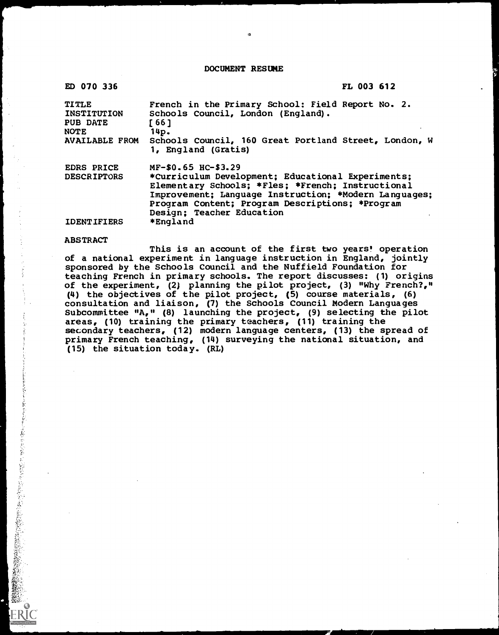DOCUMENT RESUME

ä

| ED 070 336                                                           |                                                                                                                                                                                                                                                 | FL 003 612 |
|----------------------------------------------------------------------|-------------------------------------------------------------------------------------------------------------------------------------------------------------------------------------------------------------------------------------------------|------------|
| <b>TITLE</b><br><b>INSTITUTION</b><br><b>PUB DATE</b><br><b>NOTE</b> | French in the Primary School: Field Report No. 2.<br>Schools Council, London (England).<br>[66]<br>14p.                                                                                                                                         |            |
| <b>AVAILABLE FROM</b>                                                | Schools Council, 160 Great Portland Street, London, W<br>1, England (Gratis)                                                                                                                                                                    |            |
| <b>EDRS PRICE</b>                                                    | MF-\$0.65 HC-\$3.29                                                                                                                                                                                                                             |            |
| <b>DESCRIPTORS</b>                                                   | *Curriculum Development; Educational Experiments;<br>Elementary Schools; *Fles; *French; Instructional<br>Improvement; Language Instruction; *Modern Languages;<br>Program Content; Program Descriptions; *Program<br>Design; Teacher Education |            |
| <b>IDENTIFIERS</b>                                                   | *England                                                                                                                                                                                                                                        |            |

## ABSTRACT

**不能到了,我们的人们的人们的人们的人们的人们的人们的人们的人们的人生,就会不知道了。我们的人生,我们的人们的人们的人们的人们的人生,我们的人们的人生,我们的人生,我们的人生,我们的人生,我们的人生,我们的人生,我们的人生,我们的人生,我们的人生,我们的人生,我们的人生** 

This is an account of the first two years' operation of a national experiment in language instruction in England, jointly sponsored by the Schools Council and the Nuffield Foundation for teaching French in primary schools. The report discusses: (1) origins of the experiment, (2) planning the pilot project, (3) "Why French?," (4) the objectives of the pilot project, (5) course materials, (6) consultation and liaison, (7) the Schools Council Modern Languages Subcommittee "A," (8) launching the project, (9) selecting the pilot areas, (10) training the primary teachers, (11) training the secondary teachers, (12) modern language centers, (13) the spread of primary French teaching, (14) surveying the national situation, and (15) the situation today. (RL)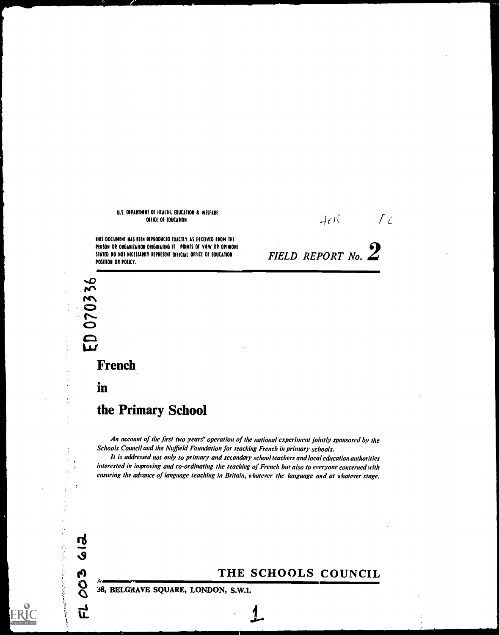## U.S. OEPARIMENI OF HEALTH, EOUCATION & WELFARE OffICE Of EDUCAIION

THIS OOCUMENT HAS BEEN REPRODUCED EXACTLY AS DECEIVED FROM THE PERSON OR ORGANIZATION ORIGINATING IT. POINTS OF VIEW OR OPINIONS STATED DO NOT NECESSARILY REPRESENT OFFICIAL OFFICE OF EDUCATION POSIIION OR POLICY.

FIELD REPORT No.  $2$ 

 $\mathbb{P}_4$  or  $\mathbb{P}_4$ 

## French

responsible to the contract of the contract of the contract of the contract of the contract of the contract of the contract of the contract of the contract of the contract of the contract of the contract of the contract of

c and the contract of the contract of the contract of the contract of the contract of the contract of the contract of the contract of the contract of the contract of the contract of the contract of the contract of the cont

in

**612** 

003

<u>ር</u>

おやまされたちでもあるそも書

## the Primary School

d<sub>0</sub>

An account of the first two years' operation of the national experiment jointly sponsored by the Schools Council and the Nuffield Foundation for teaching French in primary schools.

It is addressed not only to primary and secondary school teachers and local education authorities interested in improving and co-ordinating the teaching of French but also to everyone concerned with ensuring the advance of language teaching in Britain, whatever the language and at whatever stage.

# THE SCHOOLS COUNCIL

38, BELGRAVE SQUARE, LONDON, S.W.I.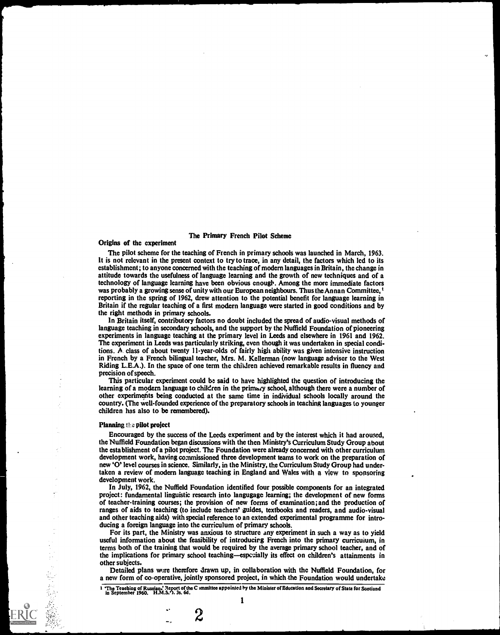### The Primary French Pilot Scheme

#### Origins of the experiment

The pilot scheme for the teaching of French in primary schools was launched in March, 1963. It is not relevant in the present context to try to trace, in any detail, the factors which lcd to its establishment; to anyone concerned with the teaching of modern languages in Britain, the change in attitude towards the usefulness of language learning and the growth of new techniques and of a technology of language learning have been obvious enough. Among the more immediate factors was probably a growing sense of unity with our European neighbours. Thus the Annan Committee, <sup>t</sup> reporting in the spring of 1962, drew attention to the potential benefit for language learning in Britain if the regular teaching of a first modern language were started in good conditions and by the right methods in primary schools.

In Britain itself, contributory factors no doubt included the spread of audio-visual methods of language teaching in secondary schools, and the support by the Nuffield Foundation of pioneering experiments in language teaching at the primary level in Leeds and elsewhere in 1961 and 1962. The experiment in Leeds was particularly striking, even though it was undertaken in special conditions. A class of about twenty 11-year-olds of fairly high ability was given intensive instruction in French by a French bilingual teacher, Mrs. M. Kellerman (now language adviser to the West Riding L.E.A.). In the space of one term the children achieved remarkable results in fluency and precision of speech.

This particular experiment could he said to have highlighted the question of introducing the learning of a modern language to children in the primary school, although there were a number of other experiments being conducted at the same time in individual schools locally around the country. (The well-founded experience of the preparatory schools in teaching languages to younger children has also to be remembered).

#### Planning the pilot project

Encouraged by the success of the Leeds experiment and by the interest which it had aroused, the Nuffield Foundation began discussions with the then Ministry's Curriculum Study Group about the establishment of a pilot project. The Foundation were already concerned with other curriculum development work, having commissioned three development teams to work on the preparation of new '0' level courses in science. Similarly, in the Ministry, the Curriculum Study Group had undertaken a review of modern language teaching in England and Wales with a view to sponsoring development work.

In July, 1962, the Nuffield Foundation identified four possible components for an integrated project: fundamental linguistic research into langugage learning; the development of new forms of teacher-training courses; the provision of new forms of examination; and the production of ranges of aids to teaching (to include teachers' guides, textbooks and readers, and audio-visual and other teaching aids) with special reference to an extended experimental programme for introducing a foreign language into the curriculum of primary schools.

For its part, the Ministry was anxious to structure any experiment in such a way as to yield useful information about the feasibility of introducing French into the primary curricuium, in terms both of the training that would be required by the average primary school teacher, and of the implications for primary school teaching—especially its effect on children's attainments in other subjects.

Detailed plans wize therefore drawn up, in collaboration with the Nuffield Foundation, for a new form of co-operative, jointly sponsored project, in which the Foundation would undertake

 $\overline{z}$ 

<sup>1 &#</sup>x27;The Teaching of Russian.' Report of the C )mmittee appointed by the Minister of Education and Secretary of State for Scotland in September 1960. H.M.S.v). 3s. 6d.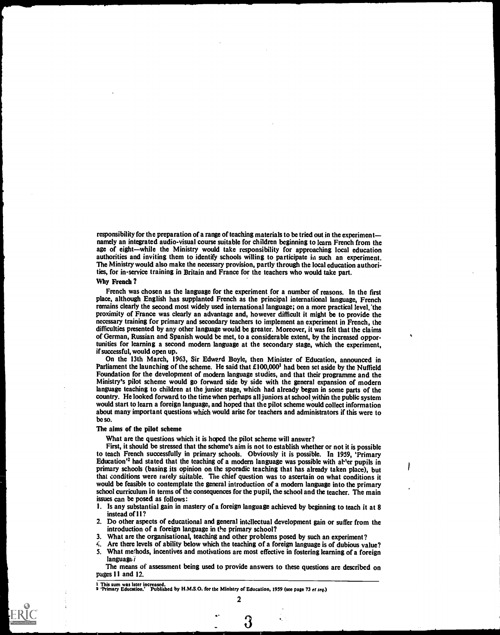responsibility for the preparation of a range of teaching materials to be tried out in the experiment namely an integrated audio-visual course suitable for children beginning to learn French from the age of eight—while the Ministry would take responsibility for approaching local education authorities and inviting them to identify schools willing to participate in such an experiment. The Ministry would also make the necessary provision, partly through the local education authorities, for in-service training in Britain and France for the teachers who would take part.

#### Why French ?

French was chosen as the language for the experiment for a number of reasons. In the first place, although English has supplanted French as the principal international language, French remains clearly the second most widely used international language; on a more practical level, the proximity of France was clearly an advantage and, however difficult it might be to provide the necessary training for primary and secondary teachers to implement an experiment in French, the difficulties presented by any other language would be greater. Moreover, it was felt that the claims of German, Russian and Spanish would be met, to a considerable extent, by the increased opportunities for learning a second modern language at the secondary stage, which the experiment, if successful, would open up.

On the 13th March, 1963, Sir Edward Boyle, then Minister of Education, announced in Parliament the launching of the scheme. He said that  $£100,000<sup>1</sup>$  had been set aside by the Nuffield Foundation for the development of modern language studies, and that their programme and the Ministry's pilot scheme would go forward side by side with the general expansion of modern language teaching to children at the junior stage, which had already begun in some parts of the country. He looked forward to the time when perhaps all juniors at school within the public system would start to learn a foreign language, and hoped that the pilot scheme would collect information about many important questions which would arise for teachers and administrators if this were to be so.

#### The alms of the pilot scheme

What are the questions which it is hoped the pilot scheme will answer?

First, it should be stressed that the scheme's aim is not to establish whether or not it is possible to teach French successfully in primary schools. Obviously it is possible. In 1959, 'Primary Education<sup>'2</sup> had stated that the teaching of a modern language was possible with at 'er pupils in primary schools (basing its opinion on the sporadic teaching that has already taken place), but that conditions were rarely suitable. The chief question was to ascertain on what conditions it would be feasible to contemplate the general introduction of a modern language into the primary school curriculum in terms of the consequences for the pupil, the school and the teacher. The main issues can be posed as follows:

- 1. Is any substantial gain in mastery of a foreign language achieved by beginning to teach it at 8 instead of 11?
- 2. Do other aspects of educational and general intellectual development gain or suffer from the introduction of a foreign language in the primary school?
- 3. What are the organisational, teaching and other problems posed by such an experiment?
- Are there levels of ability below which the teaching of a foreign language is of dubious value?
- 5. What methods, incentives and motivations are most effective in fostering learning of a foreign  $lanquate$

The means of assessment being used to provide answers to these questions are described on pages 11 and 12.

<sup>1</sup> This sum was later increased. 9 'Primary Education.' Published by H.M.S.O. for the Ministry of Education, 1959 (see page 73 et seq.)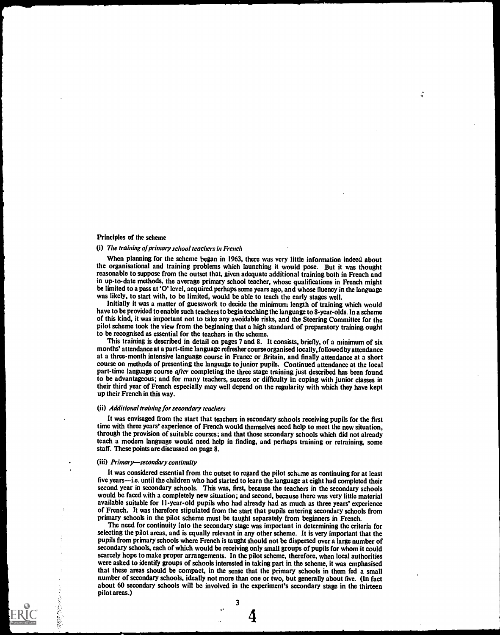## Principles of the scheme

#### (i) The training of primary school teachers in French

When planning for the scheme began in 1963, there was very little information indeed about the organisational and training problems which launching it would pose. But it was thought reasonable to suppose from the outset that, given adequate additional training both in French and in up -to -date methods, the average primary school teacher, whose qualifications in French might be limited to a pass at '0' level, acquired perhaps some years ago, and whose fluency in the language was likely, to start with, to be limited, would be able to teach the early stages well.

Initially it was a matter of guesswork to decide the minimum length of training which would have to be provided to enable such teachers to begin teaching the language to 8-year-olds. In a scheme of this kind, it was important not to take any avoidable risks, and the Steering Committee for the pilot scheme took the view from the beginning that a high standard of preparatory training ought to be recognised as essential for the teachers in the scheme.

This training is described in detail on pages 7 and 8. It consists, briefly, of a minimum of six months' attendance at a part-time language refresher courseorganised locally, followcdby attendance at a three -month intensive language course in France or Britain, and finally attendance at a short course on methods of presenting the language to junior pupils. Continued attendance at the local part-time language course after completing the three stage training just described has been found to be advantageous; and for many teachers, success or difficulty in coping with junior classes in their third year of French especially may well depend on the regularity with which they have kept up their French in this way.

#### (ii) Additional training for secondary teachers

It was envisaged from the start that teachers in secondary schools receiving pupils for the first time with three years' experience of French would themselves need help to meet the new situation, through the provision of suitable courses; and that those secondary schools which did not already teach a modern language would need help in finding, and perhaps training or retraining, some staff. These points are discussed on page 8.

## (iii) Primary-secondary continuity

rra a chuid

It was considered essential from the outset to regard the pilot scheme as continuing for at least five years—i.e. until the children who had started to learn the language at eight had completed their second year in secondary schools. This was, first, because the teachers in the secondary schools would be faced with a completely new situation; and second, because there was very little material available suitable for 11-year-old pupils who had already had as much as three years' experience of French. It was therefore stipulated from the start that pupils entering secondary schools from primary schools in the pilot scheme must be taught separately from beginners in French.

The need for continuity into the secondary stage was important in determining the criteria for selecting the pilot areas, and is equally relevant in any other scheme. It is very important that the pupils from primary schools where French is taught should not be dispersed over a large number of secondary schools, each of which would be receiving only small groups of pupils for whom it could scarcely hope to make proper arrangements. In the pilot scheme, therefore, when local authorities were asked to identify groups of schools interested in taking part in the scheme, it was emphasised that these areas should be compact, in the sense that the primary schools in them fed a small number of secondary schools, ideally not more than one or two, but generally about five. (In fact about 60 secondary schools will be involved in the experiment's secondary stage in the thirteen pilot areas.)

£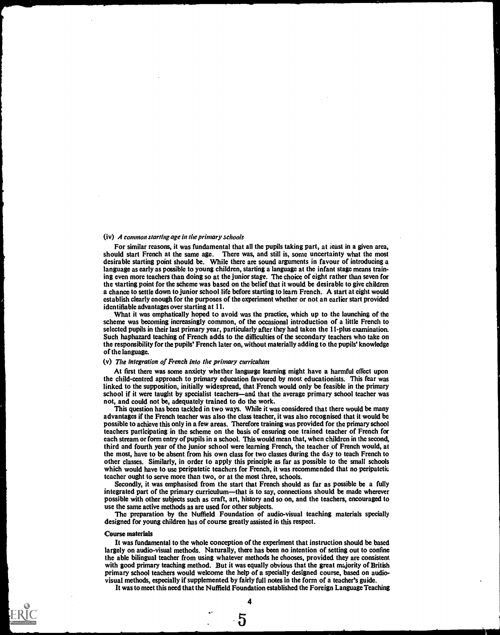#### (iv) A common starting age in the primary schools

For similar reasons, it was fundamental that all the pupils taking part, at ieast in a given area, should start French at the same age. There was, and still is, some uncertainty what the most desirable starting point should be. While there are sound arguments in favour of introducing a language as early as possible to young children, starting a language at the infant stage means training even more teachers than doing so at the junior stage. The choice of eight rather than seven for the starting point for the scheme was based on the belief that it would be desirable to give children a chance to settle down to junior school life before starting to learn French. A start at eight would establish clearly enough for the purposes of the experiment whether or not an earlier start provided identifiable advantages over starting at II.

What it was emphatically hoped to avoid was the practice, which up to the launching of the scheme was becoming increasingly common, of the occasional introduction of a little French to selected pupils in their last primary year, particularly after they had taken the I I -plus examination. Such haphazard teaching of French adds to the difficulties of the secondary teachers who take on the responsibility for the pupils' French later on, without materially adding to the pupils' knowledge of the language.

#### (v) The integration of French into the primary curriculum

At first there was some anxiety whether language learning might have a harmful effect upon the child-centred approach to primary education favoured by most educationists. This fear was linked to the supposition, initially widespread, that French would only be feasible in the primary school if it were taught by specialist teachers—and that the average primary school teacher was not, and could not be, adequately trained to do the work.

This question has been tackled in two ways. While it was considered that there would be many advantages if the French teacher was also the class teacher, it was also recognised that it would be possible to achieve this only in a few areas. Therefore training was provided for the primary school teachers participating in the scheme on the basis of ensuring one trained teacher of French for each stream or form entry of pupils in a school. This would mean that, when children in the second, third and fourth year of the junior school were learning French, the teacher of French would, at the most, have to be absent from his own class for two classes during the day to teach French to other classes. Similarly, in order to apply this principle as far as possible to the small schools which would have to use peripatetic teachers for French, it was recommended that no peripatetic teacher ought to serve more than two, or at the most three, schools.

Secondly, it was emphasised from the start that French should as far as possible be a fully integrated part of the primary curriculum—that is to say, connections should be made wherever possible with other subjects such as craft, art, history and so on, and the teachers, encouraged to use the same active methods as are used for other subjects.

The preparation by the Nuffield Foundation of audio-visual teaching materials specially designed for young children has of course greatly assisted in this respect.

#### Course materials

It was fundamental to the whole conception of the experiment that instruction should be based largely on audio-visual methods. Naturally, there has been no intention of setting out to confine the able bilingual teacher from using whatever methods he chooses, provided they are consistent with good primary teaching method. But it was equally obvious that the great majority of British primary school teachers would welcome the help of a specially designed course, based on audiovisual methods, especially if supplemented by fairly full notes in the form of a teacher's guide.

It was to meet this need that the Nuffield Foundation established the Foreign Language Teaching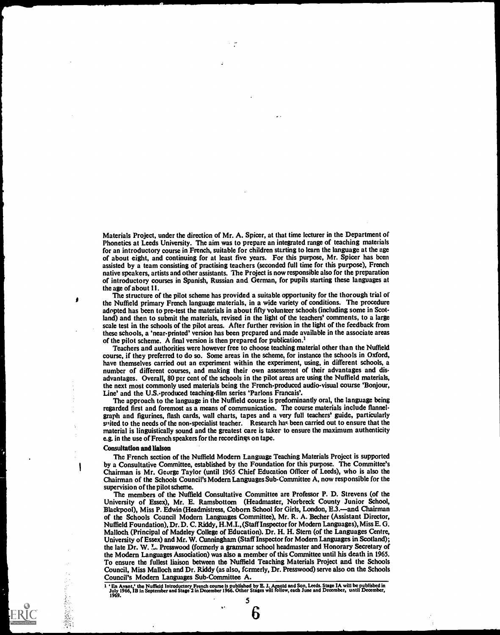Materials Project, under the direction of Mr. A. Spicer, at that time lecturer in the Department of Phonetics at Leeds University. The aim was to prepare an integrated range of teaching materials for an introductory course in French, suitable for children starting to learn the language at the age of about eight, and continuing for at least five years. For this purpose, Mr. Spicer has been assisted by a team consisting of practising teachers (seconded full time for this purpose), French native speakers, artists and other assistants. The Project is now responsible also for the preparation of introductory courses in Spanish, Russian and German, for pupils starting these languages at the age of about 11.

The structure of the pilot scheme has provided a suitable opportunity for the thorough trial of the Nuffield primary French language materials, in a wide variety of conditions. The procedure adopted has been to pre-test the materials in about fifty volunteer schools (including some in Scotland) and then to submit the materials, revised in the light of the teachers' comments, to a large scale test in the schools of the pilot areas. After further revision in the light of the feedback from these schools, a 'near-printed' version has been prepared and made available in the associate areas of the pilot scheme. A final version is then prepared for publication.<sup>1</sup>

Teachers and authorities were however free to choose teaching material other than the Nuffield course, if they preferred to do so. Some areas in the scheme, for instance the schools in Oxford, have themselves carried out an experiment within the experiment, using, in different schools, a number of different courses, and making their own assessment of their advantages and disadvantages. Overall, 80 per cent of the schools in the pilot areas are using the Nuffield materials, the next most commonly used materials being the French-produced audio-visual course 'Bonjour, Line' and the U.S.-produced teaching-film series 'Parlons Francais'.

The approach to the language in the Nuffield course is predominantly oral, the language being regarded first and foremost as a means of communication. The course materials include flannelgraph and figurines, flash cards, wall charts, tapes and a very full teachers' guide, particularly strited to the needs of the non-specialist teacher. Research has been carried out to ensure that the material is linguistically sound and the greatest care is taker to ensure the maximum authenticity c.g. in the use of French speakers for the recordings on tape.

#### Consultation and liaison

₫

۱

The French section of the Nuffield Modern Language Teaching Materials Project is supported by a Consultative Committee, established by the Foundation for this purpose. The Committee's Chairman is Mr. George Taylor (until 1965 Chief Education Officer of Leeds), who is also the Chairman of the Schools Council's Modern Languages Sub-Committee A, now responsible for the supervision of the pilot scheme.

The members of the Nuffield Consultative Committee are Professor P. D. Strevens (of the University of Essex), Mr. E. Ramsbottom (Headmaster, Norbreck County Junior School, Blackpool), Miss P. Edwin (Headmistress, Coborn School for Girls, London, E.3.-and Chairman of the Schools Council Modern Languages Committee), Mr. R. A. Becher (Assistant Director, Nuffield Foundation), Dr. D. C. Riddy, H.M.I., (Staff Inspector for Modern Languages), Miss E.G. Malloch (Principal of Madeley College of Education). Dr. H. H. Stern (of the Languages Centre, University of Essex) and Mr. W. Cunningham (Staff Inspector for Modern Languages in Scotland); the late Dr. W. ?... Presswood (formerly a grammar school headmaster and Honorary Secretary of the Modern Languages Association) was also a member of this Committee until his death in 1965. To ensure the fullest liaison between the Nuffield Teaching Materials Project and the Schools Council, Miss Malloch and Dr. Riddy (as also, fcrmerly, Dr. Presswood) serve also on the Schools Council's Modem Languages Sub-Committee A.

En Avant,' the Nuffield Introductory French course is published by E. J. Arnold and Son, Leeds. Stage IA will be published in<br>July 1966, IB in September and Stage 2 in December 1966. Other Stages will follow, each June and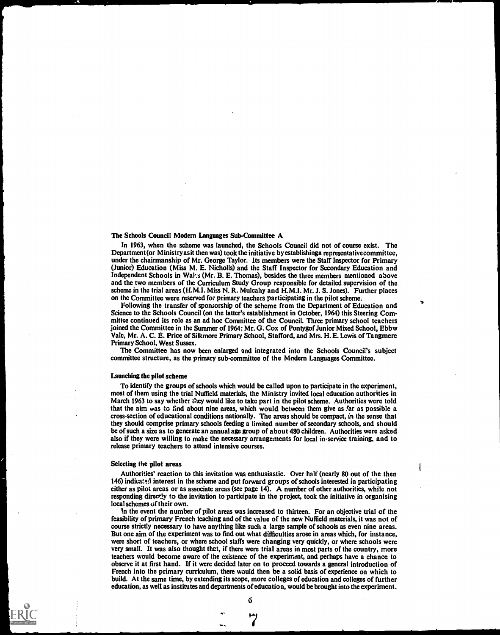#### The Schools Council Modern Languages Sub-Committee A

In 1963, when the scheme was launched, the Schools Council did not of course exist. The Department (or Ministry as it then was) took the initiative by establishinga representative committee, under the chairmanship of Mr. George Taylor. Its members were the Staff Inspector for Primary (Junior) Education (Miss M. E. Nicholls) and the Staff Inspector for Secondary Education and Independent Schools in Wal's (Mr. B. E. Thomas), besides the three members mentioned above and the two members of the Curriculum Study Group responsible for detailed supervision of the scheme in the trial areas (H.M.I. Miss N. R. Mulcahy and H.M.I. Mr. J. S. Jones). Further places on the Committee were reserved for primary teachers participating in the pilot scheme.

Following the transfer of sponsorship of the scheme from the Department of Education and Science to the Schools Council (on the latter's establishment in October, 1964) this Steering Committee continued its role as an ad hoc Committee of the Council. Three primary school teachers joined the Committee in the Summer of 1964: Mr. G. Cox of Pontygof Junior Mixed School, Ebbw Vale, Mr. A. C. E. Price of Silkmore Primary School, Stafford, and Mrs. H. E. Lewis of Tangmerc Primary School, West Sussex.

The Committee has now been enlarged and integrated into the Schools Council's subject committee structure, as the primary sub-committee of the Modern Languages Committee.

#### Launching the pilot scheme

To identify the groups of schools which would be called upon to participate in the experiment, most of them using the trial Nuffield materials, the Ministry invited local education authorities in March 1963 to say whether they would like to take part in the pilot scheme. Authorities were told that the aim was to find about nine areas, which would between them give as far as possible a cross-section of educational conditions nationally. The areas should be compact, in the sense that they should comprise primary schools feeding a limited number of secondary schools, and should be of such a size as to generate an annual age group of about 480 children. Authorities were asked also if they were willing to make the necessary arrangements for local in-service training, and to release primary teachers to attend intensive courses.

#### Selecting the pilot areas

Authorities' reaction to this invitation was enthusiastic. Over half (nearly 80 out of the then 146) indicated interest in the scheme and put forward groups of schools interested in participating either as pilot areas or as associate areas (sec page 14). A number of other authorities, while not responding directly to the invitation to participate in the project, took the initiative in organising local schemes of their own.

In the event the number of pilot areas was increased to thirteen. For an objective trial of the feasibility of primary French teaching and of the value of the new Nuffield materials, it was not of course strictly necessary to have anything like such a large sample of schools as even nine areas. But one aim of the experiment was to find out what difficulties arose in areas which, for instance, were short of teachers, or where school staffs were changing very quickly, or where schools were very small. It was also thought that, if there were trial areas in most parts of the country, more teachers would become aware of the existence of the experiment, and perhaps have a chance to observe it at first hand. If it were decided later on to proceed towards a general introduction of French into the primary curriculum, there would then be a solid basis of experience on which to build. At the same time, by extending its scope, more colleges of education and colleges of further education, as well as institutes and departments of education, would be brought into the experiment.

6

Fa.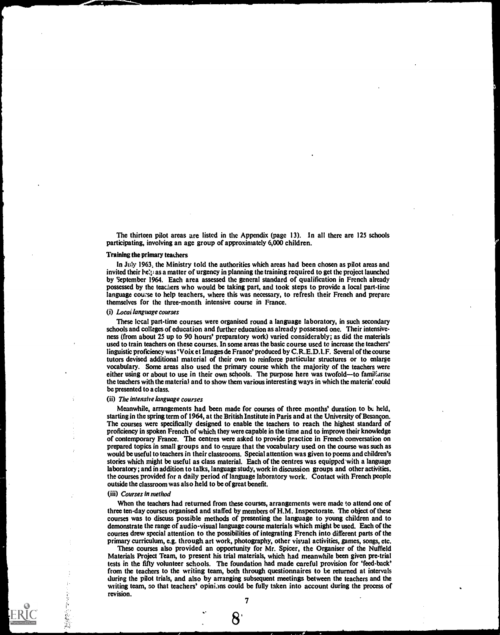The thirteen pilot areas are listed in the Appendix (page 13). In all there are 125 schools participating, involving an age group of approximately 6,000 children.

#### Training the primary teachers

In July 1963; the Ministry told the authorities which areas had been chosen as pilot areas and invited their helph as a matter of urgency in planning the training required to get the project launched by September 1964. Each area assessed the general standard of qualification in French already possessed by the teachers who would be taking part, and took steps to provide a local part-time language course to help teachers, where this was necessary, to refresh their French and prepare themselves for the three-month intensive course in France.

## (i) Locai language courses

These local part-time courses were organised round a language laboratory, in such secondary schools and colleges of education and further education as already possessed one. Their intensiveness (from about 25 up to 90 hours' preparatory work) varied considerably; as did the materials used to train teachers on these courses. In some areas the basic course used to increase the teachers' linguistic proficiency was 'Voix et Images de France' produced by C.R.E.D.l.F. Several of the course tutors devised additional material of their own to reinforce particular structures or to enlarge vocabulary. Some areas also used the primary course which the majority of the teachers were either using or about to use in their own schools. The purpose here was twofold—to familiarise the teachers with the material and to show them various interesting ways in which the materia'. could be presented to a class.

#### (ii) The intensive language courses

Meanwhile, arrangements had been made for courses of three months' duration to be held, starting in the spring term of 1964, at the British Institute in Paris and at the University of Besancon. The courses were specifically designed to enable the teachers to reach the highest standard of proficiency in spoken French of which they were capable in the time and to improve their knowledge of contemporary France. The centres were asked to provide practice in French conversation on prepared topics in small groups and to ensure that the vocabulary used on the course was such as would be useful to teachers in their classrooms. Special attention was given to poems and children's stories which might be useful as class material. Each of the centres was equipped with a language laboratory; and in addition to talks, language study, work in discussion groups and other activities, the courses provided for a daily period of language laboratory work. Contact with French people outside the classroom was also held to be of great benefit.

#### (iii) Courses in method

When the teachers had returned from these courses, arrangements were made to attend one of three ten-day courses organised and staffed by members of H.M. Inspectorate. The object of these courses was to discuss possible methods of presenting the language to young children and to demonstrate the range of audio-visual language course materials which might be used. Each of the courses drew special attention to the possibilities of integrating French into different parts of the primary curriculum, e.g. through art work, photography, other visual activities, games, songs, etc.

These courses also provided an opportunity for Mr. Spicer, the Organiser of the Nuffield Materials Project Team, to present his trial materials, which had meanwhile been given pre-trial tests in the fifty volunteer schools. The foundation had made careful provision for 'feed-back' from the teachers to the writing team, both through questionnaires to be returned at intervals during the pilot trials, and also by arranging subsequent meetings between the teachers and the writing team, so that teachers' opinions could be fully taken into account during the process of revision.

7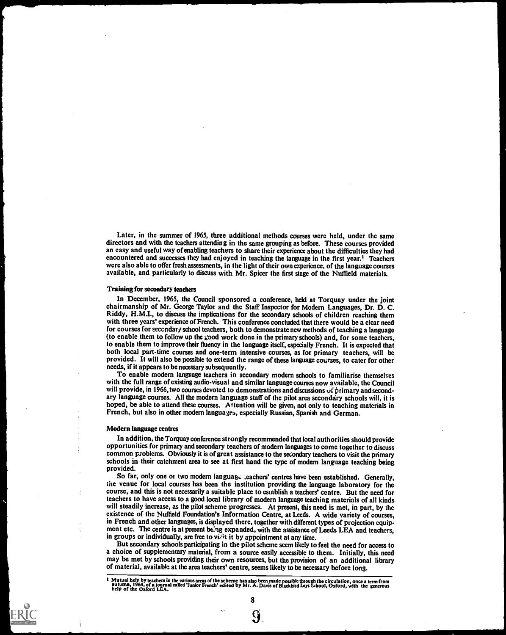Later, in the summer of 1965, three additional methods courses were held, under the same directors and with the teachers attending in the same grouping as before. These courses provided an easy and useful way of enabling teachers to share their experience about the difficulties they had encountered and successes they had enjoyed in teaching the language in the first year.' Teachers were also able to offer fresh assessments, in the light of their own experience, of the language courses available, and particularly to discuss with Mr. Spicer the first stage of the Nuffield materials.

#### Training for secondary teachers

In December, 1965, the Council sponsored a conference, held at Torquay under the joint chairmanship of Mr. George Taylor and the Staff Inspector for Modem Languages, Dr. D. C. Riddy, H.M.I., to discuss the implications for the secondary schools of children reaching them with three years' experience of French. This conference concluded that there would be a clear need for courses for secondary school teachers, both to demonstrate new methods of teaching a language (to enable them to follow up the  $\zeta$  ood work done in the primary schools) and, for some teachers, to enable them to improve their fluency in the language itself, especially French. It is expected that both local part-time courses and one-term intensive courses, as for primary teachers, will be provided. It will also be possible to extend the range of these language courses, to cater for other needs, if it appears to be necessary subsequently.

To enable modem language teachers in secondary modern schools to familiarise themselves with the full range of existing audio-visual and similar language courses now available, the Council will provide, in 1966, two courses devoted to demonstrations and discussions of primary and secondary language courses. All the modern language staff of the pilot area secondary schools will, it is hoped, be able to attend these courses. Attention will be given, not only to teaching materials in French, but also in other modern languages, especially Russian, Spanish and German.

#### Modern language centres

In addition, the Torquay conference strongly recommended that local authorities should provide opportunities for primary and secondary teachers of modem languages to come together to discuss common problems. Obviously it is of great assistance to the secondary teachers to visit the primary schools in their catchment area to see at first hand the type of modem language teaching being provided.

So far, only one or two modern languag, :eachers' centres have been established. Generally, the venue for local courses has been the institution providing the language laboratory for the course, and this is not necessarily a suitable place to establish a teachers' centre. But the need for teachers to have access to a good local library of modem language teaching materials of all kinds will steadily increase, as the pilot scheme progresses. At present, this need is met, in part, by the existence of the Nuffield Foundation's Information Centre, at Leeds. A wide variety of courses, in French and other languages, is displayed there, together with different types of projection equipment etc. The centre is at present being expanded, with the assistance of Leeds LEA and teachers, in groups or individually, are free to visit it by appointment at any time.

But secondary schools participating in the pilot scheme seem likely to feel the need for access to a choice of supplementary material, from a source easily accessible to them. Initially, this need may be met by schools providing their own resources, but the provision of an additional library of material, available at the area teachers' centre, seems likely to be necessary before long.

8

 $\mathbf{J}_\beta$ 

<sup>⊥</sup> Mutual help by teachers in the various areas of the scheme has also been made possible through the circulation, once a term from<br>autumn, 1964, of a journal called 'Junior French' edited by Mr. A. Davis of Blackbird Ley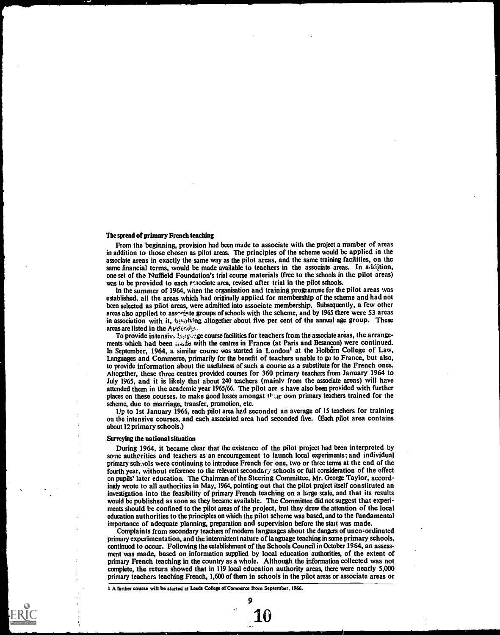#### The spread of primary French teaching

From the beginning, provision had been made to associate with the project a number of areas in addition to those chosen as pilot areas. The principles of the scheme would be applied in the associate areas in exactly the same way as the pilot areas, and the same training facilities, on the same financial terms, would be made available to teachers in the associate areas. In addition, one set of the Nuffield Foundation's trial course materials (free to the schools in the pilot areas) was to be provided to each associate area, revised after trial in the pilot schools.

In the summer of 1964, when the organisation and training programme for the pilot areas was established, all the areas which had originally appiied for membership of the scheme and had not been selected as pilot areas, were admitted into associate membership. Subsequently, a few other areas also applied to assequate groups of schools with the scheme, and by 1965 there were 53 areas in association with it, the syling altogether about five per cent of the annual age group. These areas are listed in the A) $\text{tr}(k, k)$ .

To provide intensive is example course facilities for teachers from the associate areas, the arrangements which had been with the centres in France (at Paris and Besancon) were continued. In September, 1964, a similar course was started in London<sup>1</sup> at the Holborn College of Law, Languages and Commerce, primarily for the benefit of teachers unable to go to France, but also, to provide information about the usefulness of such a course as a substitute for the French ones. Altogether, these three centres provided courses for 360 primary teachers from January 1964 to July 1965, and it is likely that about 240 teachers (mainly from the associate areas) will have attended them in the academic year 1965/66. The pilot are .s have also been provided with further places on these courses, to make good losses amongst  $t^2$  own primary teachers trained for the scheme, due to marriage, transfer, promotion, etc.

Up to 1st January 1966, each pilot area had seconded an average of 15 teachers for training on the intensive courses, and each associated area had seconded five. (Each pilot area contains about 12 primary schools.)

#### Surveying the national situation

During 1964, it became clear that the existence of the pilot project had been interpreted by some authorities and teachers as an encouragement to launch local experiments; and individual primary sch.tols were continuing to introduce French for one, two or three terms at the end of the fourth year, without reference to the relevant secondary schools or full consideration of the effect on pupils' later education. The Chairman of the Steering Committee, Mr. George Taylor, accordingly wrote to all authorities in May, 1964, pointing out that the pilot project itself constituted an investigation into the feasibility of primary French teaching on a large scale, and that its results would be published as soon as they became available. The Committee did not suggest that experiments should be confined to the pilot areas of the project, but they drew the attention of the local education authorities to the principles on which the pilot scheme was based, and to the fundamental importance of adequate planning, preparation and supervision before the start was made.

Complaints from secondary teachers of modern languages about the dangers of unco-ordinated primary experimentation, and the intermittent nature of language teaching in some primary schools, continucd to occur. Following the establishment of the Schools Council in October 1964, an assessment was made, based on information supplied by local education authorities, of the extent of primary French teaching in the country as a whole. Although the information collected was not complete, the return showed that in 119 local education authority areas, there were nearly 5,000 primary teachers teaching French, 1,600 of them in schools in the pilot areas or associate areas or

9

10

I A further course will be started at Leeds College of Commerce from September, 1966.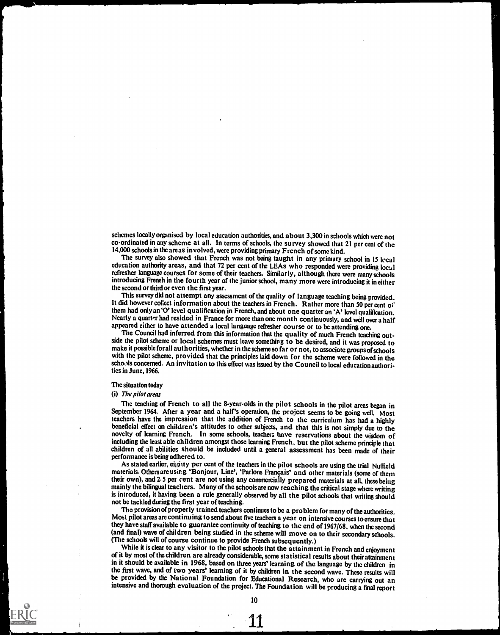schemes locally organised by local education authorities, and about 3,300 in schools which were not co-ordinated in any scheme at all. In terms of schools, the survey showed that 21 per cent of the 14,000 schools in the areas involved, were providing primary French of some kind.

The survey also showed that French was not being taught in any primary school in 15 local education authority areas, and that 72 per cent of the LEAs who responded were providing local refresher language courses for some of their teachers. Similarly, although there were many schools introducing French in the fourth year of the junior school, many more were introducing it in either the second or third or even the first year.

This survey did not attempt any assessment of the quality of language teaching being provided. It did however collect information about the teachers in French. Rather more than 50 per cent of them had only an '0' level qualification in French, and about one quarter an 'A' level qualification. Nearly a quarter had resided in France for more than one month continuously, and well over a half appeared either to have attended a local language refresher course or to be attending one.

The Council had inferred from this information that the quality of much French teaching outside the pilot scheme or local schemes must leave something to be desired, and it was proposed to make it possible forall authorities, whether in the scheme so far or not, to associate groups of schools with the pilot scheme, provided that the principles laid down for the scheme were followed in the schools concerned. An invitation to this effect was issued by the Council to local education authorities in June, 1966.

#### The situation today

#### (i) The pilot areas

The teaching of French to all the 8-year-olds in the pilot schools in the pilot areas began in September 1964. After a year and a half's operation, the project seems to be going well. Most teachers have the impression that beneficial effect on children's attitudes to other subjects, and that this is not simply due to the novelty of learning French. In some schools, teachers have reservations about the wisdom of including the least able children amongst those learning French, but the pilot scheme principle that children of all abilities should be included until a general assessment has been made of their performance is being adhered to.

As stated earlier, eighty per cent of the teachers in the pilot schools are using the trial Nuffield materials. Others are using 'Bonjour, Line', 'Parlons Francais' and other materials (some of them their own), and 2.5 pet cent are not using any commercially prepared materials at all, these being mainly the bilingual teachers. Many of the schools are now reaching the critical stage where writing is introduced, it having been a rule generally observed by all the pilot schools that writing should not be tackled during the first year of teaching.

The provision of properly trained teachers continues to be a problem for many of the authorities. Most pilot areas are continuing to send about five teachers a year on intensivecourses to ensure that they have staff available to guarantee continuity of teaching to the end of 1967/68, when the second (and final) wave of children being studied in the scheme will move on to their secondary schools.<br>
(The schools will of course continue to provide French subsequently.)<br>
While it is clear to any visitor to the pilot school

of it by most of the children are already considerable, some statistical results about their attainment in it should be available in 1968, based on three years' learning of the language by the children in the first wave, and of two years' learning of it by children in the second wave. These results will be provided by the National Foundation for Educational Research, who are carrying out an intensive and thorough evaluation of the project. The Foundation will be producing a final report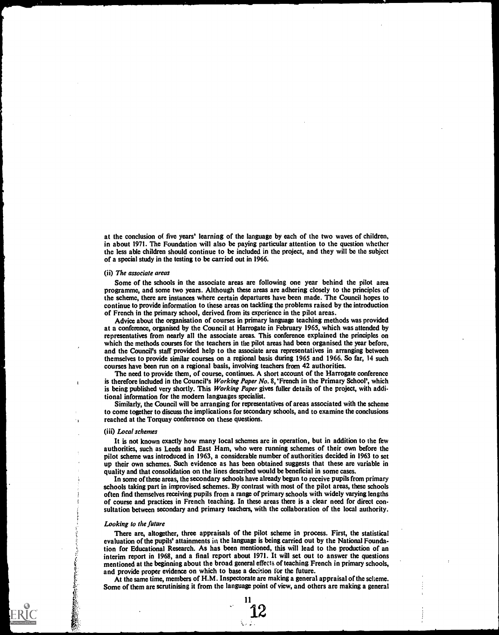at the conclusion of five years' learning of the language by each of the two waves of children, in about 1971. The Foundation will also be paying particular attention to the question whether the less able children should continue to be included in the project, and they will be the subject of a special study in the testing to be carried out in 1966.

## (ii) The associate areas

Some of the schools in the associate areas are following one year behind the pilot area programme, and some two years. Although these areas are adhering closely to the principles of the scheme, there are instances where certain departures have been made. The Council hopes to continue to provide information to these areas on tackling the problems raised by the introduction of French in the primary school, derived from its experience in the pilot areas.

Advice about the organisation of courses in primary language teaching methods was provided at a conference, organised by the Council at Harrogate in February 1965, which was attended by representatives from nearly all the associate areas. This conference explained the principles on which the methods courses for the teachers in the pilot areas had been organised the year before, and the Council's staff provided help to the associate area representatives in arranging between themselves to provide similar courses on a regional basis during 1965 and 1966. So far, 14 such courses have been run on a regional basis, involving teachers from 42 authorities.

The need to provide them, of course, continues. A short account of the Harrogate conference is therefore included in the Council's Working Paper No. 8, 'French in the Primary School', which is being published very shortly. This Working Paper gives fuller details of the project, with additional information for the modern languages specialist.

Similarly, the Council will be arranging for representatives of areas associated with the scheme to come together to discuss the implications for secondary schools, and to examine the conclusions reached at the Torquay conference on these questions.

#### (iii) Local schemes

It is not known exactly how many local schemes are in operation, but in addition to the few authorities, such as Leeds and East Ham, who were running schemes of their own before the pilot scheme was introduced in 1963, a considerable number of authorities decided in 1963 to set up their own schemes. Such evidence as has been obtained suggests that these are variable in quality and that consolidation on the lines described would be beneficial in some cases.

In some of these areas, the secondary schools have already begun to receive pupils from primary schools taking part in improvised schemes. By contrast with most of the pilot areas, these schools often find themselves receiving pupils from a range of primary schools with widely varying lengths of course and practices in French teaching. In these areas there is a clear need for direct consultation between secondary and primary teachers, with the collaboration of the local authority.

#### Looking to the future

There are, altogether, three appraisals of the pilot scheme in process. First, the statistical evaluation of the pupils' attainments in the language is being carried out by the National Foundation for Educational Research. As has been mentioned, this will lead to the production of an interim report in 1968, and a final report about 1971. It will set out to answer the questions mentioned at the beginning about the broad general effects of teaching French in primary schools, and provide proper evidence on which to base a decision for the future.

At the same time, members of H.M. Inspectorate are making a general appraisal of the sclieme. Some of them are scrutinising it from the language point of view, and others are making a general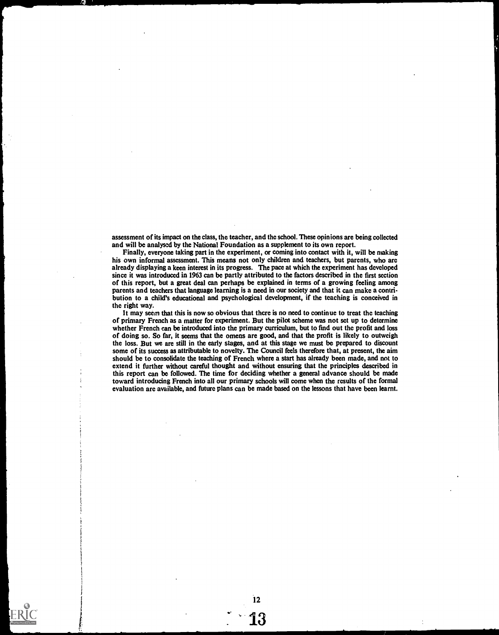assessment of its impact on the class, the teacher, and the school. These opinions are being collected and will be analysed by the National Foundation as a supplement to its own report.

Finally, everyone taking part in the experiment, or coming into contact with it, will be making his own informal assessment. This means not only children and teachers, but parents, who are already displaying a keen interest in its progress. The pace at which the experiment has developed since it was introduced in 1963 can be partly attributed to the factors described in the first section of this report, but a great deal can perhaps be explained in terms of a growing feeling among parents and teachers that language learning is a need in our society and that it can make a contribution to a child's educational and psychological development, if the teaching is conceived in the right way.

It may seem that this is now so obvious that there is no need to continue to treat the teaching of primary French as a matter for experiment. But the pilot scheme was not set up to determine whether French can be introduced into the primary curriculum, but to find out the profit and loss of doing so. So far, it seems that the omens are good, and that the profit is likely to outweigh the loss. But we are still in the early stages, and at this stage we must be prepared to discount some of its success as attributable to novelty. The Council feels therefore that, at present, the aim should be to consolidate the teaching of French where a start has already been made, and not to extend it further without careful thought and without ensuring that the principles described in this report can be followed. The time for deciding whether a general advance should be made toward introducing French into all our primary schools will come when the results of the formal evaluation are available, and future plans can be made based on the lessons that have been learnt.

12

**Î3** 

e.